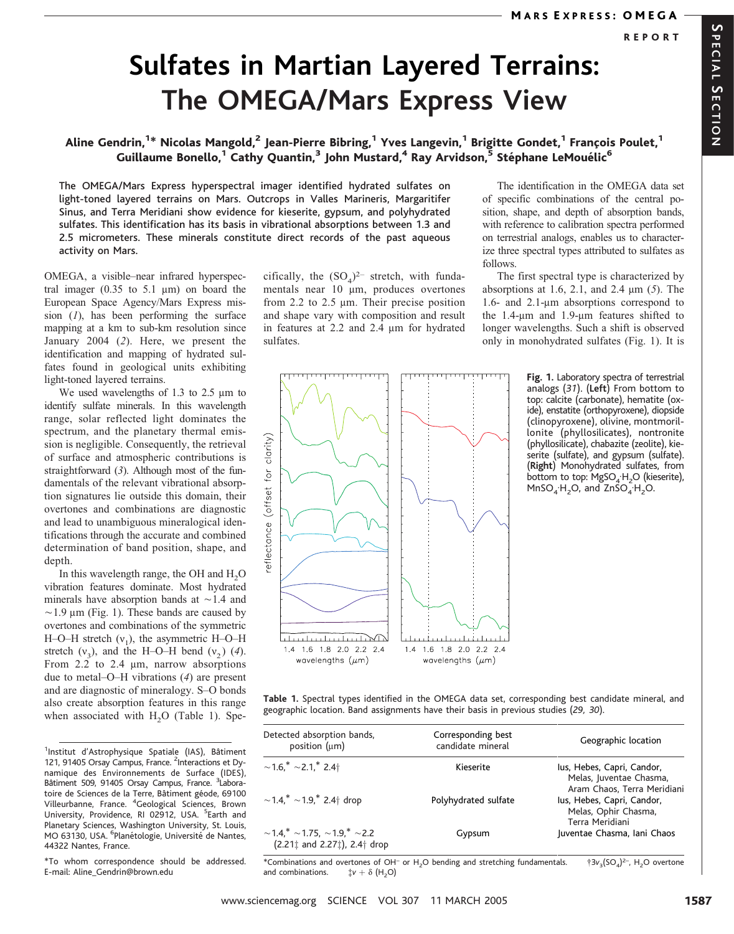# Sulfates in Martian Layered Terrains: The OMEGA/Mars Express View

### Aline Gendrin,<sup>1\*</sup> Nicolas Mangold,<sup>2</sup> Jean-Pierre Bibring,<sup>1</sup> Yves Langevin,<sup>1</sup> Brigitte Gondet,<sup>1</sup> François Poulet,<sup>1</sup> Guillaume Bonello,<sup>1</sup> Cathy Quantin,<sup>3</sup> John Mustard,<sup>4</sup> Ray Arvidson,<sup>5</sup> Stéphane LeMouélic<sup>6</sup>

The OMEGA/Mars Express hyperspectral imager identified hydrated sulfates on light-toned layered terrains on Mars. Outcrops in Valles Marineris, Margaritifer Sinus, and Terra Meridiani show evidence for kieserite, gypsum, and polyhydrated sulfates. This identification has its basis in vibrational absorptions between 1.3 and 2.5 micrometers. These minerals constitute direct records of the past aqueous activity on Mars.

OMEGA, a visible–near infrared hyperspectral imager  $(0.35 \text{ to } 5.1 \text{ µm})$  on board the European Space Agency/Mars Express mission  $(1)$ , has been performing the surface mapping at a km to sub-km resolution since January 2004 (2). Here, we present the identification and mapping of hydrated sulfates found in geological units exhibiting light-toned layered terrains.

We used wavelengths of 1.3 to 2.5  $\mu$ m to identify sulfate minerals. In this wavelength range, solar reflected light dominates the spectrum, and the planetary thermal emission is negligible. Consequently, the retrieval of surface and atmospheric contributions is straightforward (3). Although most of the fundamentals of the relevant vibrational absorption signatures lie outside this domain, their overtones and combinations are diagnostic and lead to unambiguous mineralogical identifications through the accurate and combined determination of band position, shape, and depth.

In this wavelength range, the OH and  $H<sub>2</sub>O$ vibration features dominate. Most hydrated minerals have absorption bands at  $\sim$  1.4 and  $\sim$ 1.9 µm (Fig. 1). These bands are caused by overtones and combinations of the symmetric H–O–H stretch  $(v_1)$ , the asymmetric H–O–H stretch  $(v_2)$ , and the H–O–H bend  $(v_2)$  (4). From  $2.2$  to  $2.4 \mu m$ , narrow absorptions due to metal–O–H vibrations (4) are present and are diagnostic of mineralogy. S–O bonds also create absorption features in this range when associated with  $H<sub>2</sub>O$  (Table 1). Spe-

<sup>1</sup>Institut d'Astrophysique Spatiale (IAS), Bâtiment 121, 91405 Orsay Campus, France. <sup>2</sup>Interactions et Dynamique des Environnements de Surface (IDES), Bâtiment 509, 91405 Orsay Campus, France. <sup>3</sup>Laboratoire de Sciences de la Terre, Bâtiment géode, 69100 Villeurbanne, France. <sup>4</sup> Geological Sciences, Brown University, Providence, RI 02912, USA. <sup>5</sup>Earth and Planetary Sciences, Washington University, St. Louis, MO 63130, USA. <sup>6</sup>Planétologie, Université de Nantes, 44322 Nantes, France.

\*To whom correspondence should be addressed. E-mail: Aline\_Gendrin@brown.edu

cifically, the  $(SO<sub>4</sub>)<sup>2–</sup>$  stretch, with fundamentals near 10 um, produces overtones from 2.2 to 2.5  $\mu$ m. Their precise position and shape vary with composition and result in features at  $2.2$  and  $2.4 \mu m$  for hydrated sulfates.





The first spectral type is characterized by absorptions at 1.6, 2.1, and 2.4  $\mu$ m (5). The 1.6- and 2.1-mm absorptions correspond to the  $1.4$ - $\mu$ m and  $1.9$ - $\mu$ m features shifted to longer wavelengths. Such a shift is observed only in monohydrated sulfates (Fig. 1). It is

> Fig. 1. Laboratory spectra of terrestrial analogs (31). (Left) From bottom to top: calcite (carbonate), hematite (oxide), enstatite (orthopyroxene), diopside (clinopyroxene), olivine, montmorillonite (phyllosilicates), nontronite (phyllosilicate), chabazite (zeolite), kieserite (sulfate), and gypsum (sulfate). (Right) Monohydrated sulfates, from bottom to top:  $MgSO_4H_2O$  (kieserite),  $MnSO<sub>4</sub>H<sub>2</sub>O<sub>2</sub>$  and ZnSO<sub>4</sub><sup>-</sup>H<sub>2</sub>O.

Table 1. Spectral types identified in the OMEGA data set, corresponding best candidate mineral, and geographic location. Band assignments have their basis in previous studies (29, 30).

| Detected absorption bands,<br>position (um)                                                          | Corresponding best<br>candidate mineral | Geographic location                                                   |
|------------------------------------------------------------------------------------------------------|-----------------------------------------|-----------------------------------------------------------------------|
|                                                                                                      |                                         |                                                                       |
| $\sim$ 1.4,* $\sim$ 1.9,* 2.4 $\dagger$ drop                                                         | Polyhydrated sulfate                    | lus, Hebes, Capri, Candor,<br>Melas, Ophir Chasma,<br>Terra Meridiani |
| $\sim$ 1.4.* $\sim$ 1.75, $\sim$ 1.9.* $\sim$ 2.2<br>$(2.211$ and $2.271$ ), $2.4$ <sup>+</sup> drop | Gypsum                                  | Juventae Chasma, Iani Chaos                                           |

\*Combinations and overtones of OH<sup>-</sup> or H<sub>2</sub>O bending and stretching fundamentals.  $\frac{1}{3}v_3(SQ_4)^{2-}$ , H<sub>2</sub>O overtone and combinations.  $\frac{1}{3}v + \delta(H, O)$ and combinations.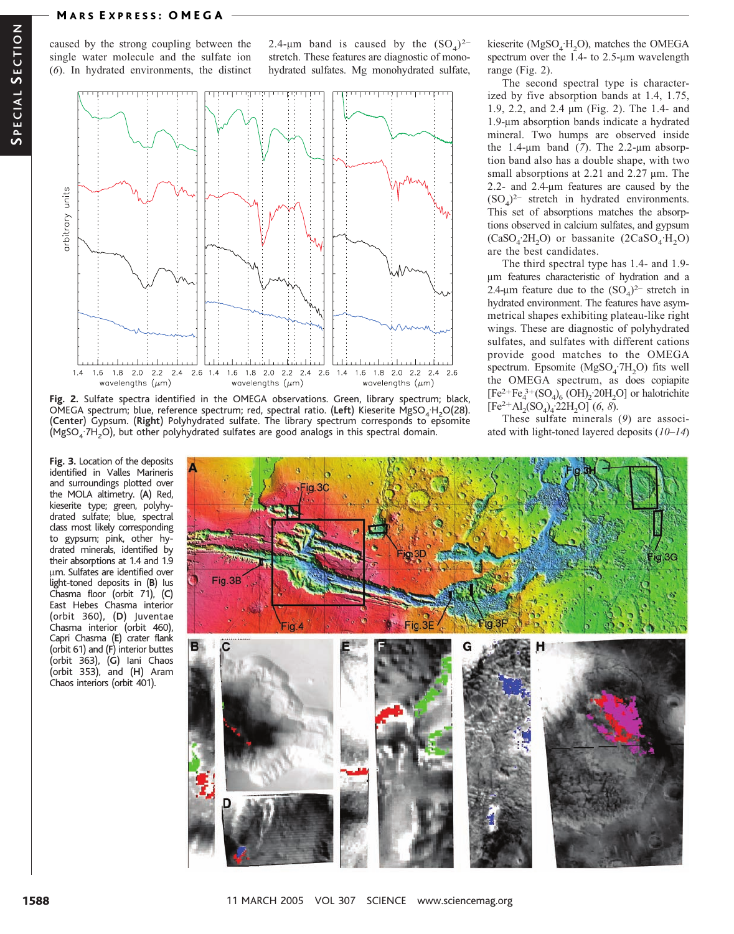caused by the strong coupling between the single water molecule and the sulfate ion (6). In hydrated environments, the distinct 2.4-µm band is caused by the  $(SO<sub>4</sub>)<sup>2–</sup>$ stretch. These features are diagnostic of monohydrated sulfates. Mg monohydrated sulfate,



Fig. 2. Sulfate spectra identified in the OMEGA observations. Green, library spectrum; black, OMEGA spectrum; blue, reference spectrum; red, spectral ratio. (Left) Kieserite MgSO<sub>4</sub>·H<sub>2</sub>O(28). (Center) Gypsum. (Right) Polyhydrated sulfate. The library spectrum corresponds to epsomite  $(MgSO<sub>4</sub>7H<sub>2</sub>O)$ , but other polyhydrated sulfates are good analogs in this spectral domain.

Fig. 3. Location of the deposits identified in Valles Marineris and surroundings plotted over the MOLA altimetry. (A) Red, kieserite type; green, polyhydrated sulfate; blue, spectral class most likely corresponding to gypsum; pink, other hydrated minerals, identified by their absorptions at 1.4 and 1.9 um. Sulfates are identified over light-toned deposits in (B) Ius Chasma floor (orbit 71), (C) East Hebes Chasma interior (orbit 360), (D) Juventae Chasma interior (orbit 460), Capri Chasma (E) crater flank (orbit 61) and (F) interior buttes (orbit 363), (G) Iani Chaos (orbit 353), and (H) Aram Chaos interiors (orbit 401).

Fig.3E

kieserite ( $MgSO_4H_2O$ ), matches the OMEGA spectrum over the  $1.4$ - to  $2.5$ - $\mu$ m wavelength range (Fig. 2).

The second spectral type is characterized by five absorption bands at 1.4, 1.75, 1.9, 2.2, and 2.4 mm (Fig. 2). The 1.4- and 1.9-um absorption bands indicate a hydrated mineral. Two humps are observed inside the 1.4- $\mu$ m band (7). The 2.2- $\mu$ m absorption band also has a double shape, with two small absorptions at  $2.21$  and  $2.27 \mu m$ . The 2.2- and 2.4-µm features are caused by the  $(SO<sub>4</sub>)<sup>2-</sup>$  stretch in hydrated environments. This set of absorptions matches the absorptions observed in calcium sulfates, and gypsum  $(CaSO<sub>4</sub>·2H<sub>2</sub>O)$  or bassanite  $(2CaSO<sub>4</sub>·H<sub>2</sub>O)$ are the best candidates.

The third spectral type has 1.4- and 1.9 mm features characteristic of hydration and a 2.4-µm feature due to the  $(SO<sub>A</sub>)<sup>2-</sup>$  stretch in hydrated environment. The features have asymmetrical shapes exhibiting plateau-like right wings. These are diagnostic of polyhydrated sulfates, and sulfates with different cations provide good matches to the OMEGA spectrum. Epsomite  $(MgSO<sub>4</sub>·7H<sub>2</sub>O)$  fits well the OMEGA spectrum, as does copiapite  $[Fe<sup>3+</sup><sub>4</sub>(SO<sub>4</sub>)<sub>6</sub>(OH)<sub>2</sub>$ :20H<sub>2</sub>O] or halotrichite  $[Fe^{2+}Al_2(SO_4)_4.22H_2O](6, 8).$ 

These sulfate minerals (9) are associated with light-toned layered deposits  $(10-14)$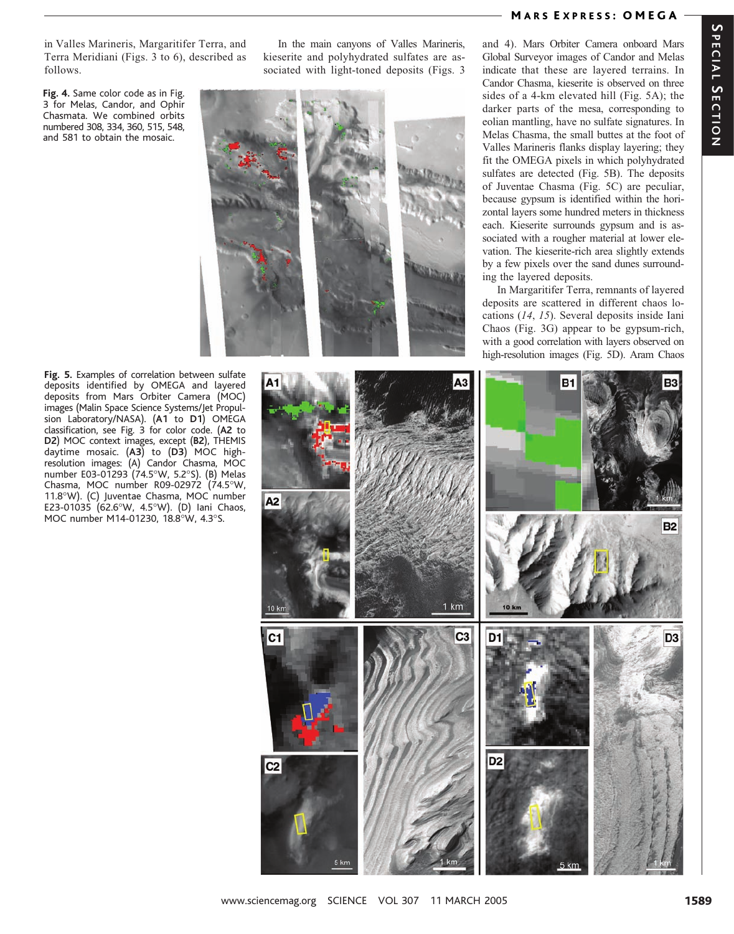in Valles Marineris, Margaritifer Terra, and Terra Meridiani (Figs. 3 to 6), described as follows.

Fig. 4. Same color code as in Fig. 3 for Melas, Candor, and Ophir Chasmata. We combined orbits numbered 308, 334, 360, 515, 548, and 581 to obtain the mosaic.

In the main canyons of Valles Marineris, kieserite and polyhydrated sulfates are associated with light-toned deposits (Figs. 3



### MARS EXPRESS: OMEGA

and 4). Mars Orbiter Camera onboard Mars Global Surveyor images of Candor and Melas indicate that these are layered terrains. In Candor Chasma, kieserite is observed on three sides of a 4-km elevated hill (Fig. 5A); the darker parts of the mesa, corresponding to eolian mantling, have no sulfate signatures. In Melas Chasma, the small buttes at the foot of Valles Marineris flanks display layering; they fit the OMEGA pixels in which polyhydrated sulfates are detected (Fig. 5B). The deposits of Juventae Chasma (Fig. 5C) are peculiar, because gypsum is identified within the horizontal layers some hundred meters in thickness each. Kieserite surrounds gypsum and is associated with a rougher material at lower elevation. The kieserite-rich area slightly extends by a few pixels over the sand dunes surrounding the layered deposits.

In Margaritifer Terra, remnants of layered deposits are scattered in different chaos locations (14, 15). Several deposits inside Iani Chaos (Fig. 3G) appear to be gypsum-rich, with a good correlation with layers observed on high-resolution images (Fig. 5D). Aram Chaos

Fig. 5. Examples of correlation between sulfate deposits identified by OMEGA and layered deposits from Mars Orbiter Camera (MOC) images (Malin Space Science Systems/Jet Propulsion Laboratory/NASA). (A1 to D1) OMEGA classification, see Fig. 3 for color code. (A2 to D2) MOC context images, except (B2), THEMIS daytime mosaic. (A3) to (D3) MOC highresolution images: (A) Candor Chasma, MOC number E03-01293 (74.5°W, 5.2°S). (B) Melas Chasma, MOC number R09-02972 (74.5°W, 11.8°W). (C) Juventae Chasma, MOC number E23-01035 (62.6°W, 4.5°W). (D) Iani Chaos, MOC number M14-01230, 18.8°W, 4.3°S.

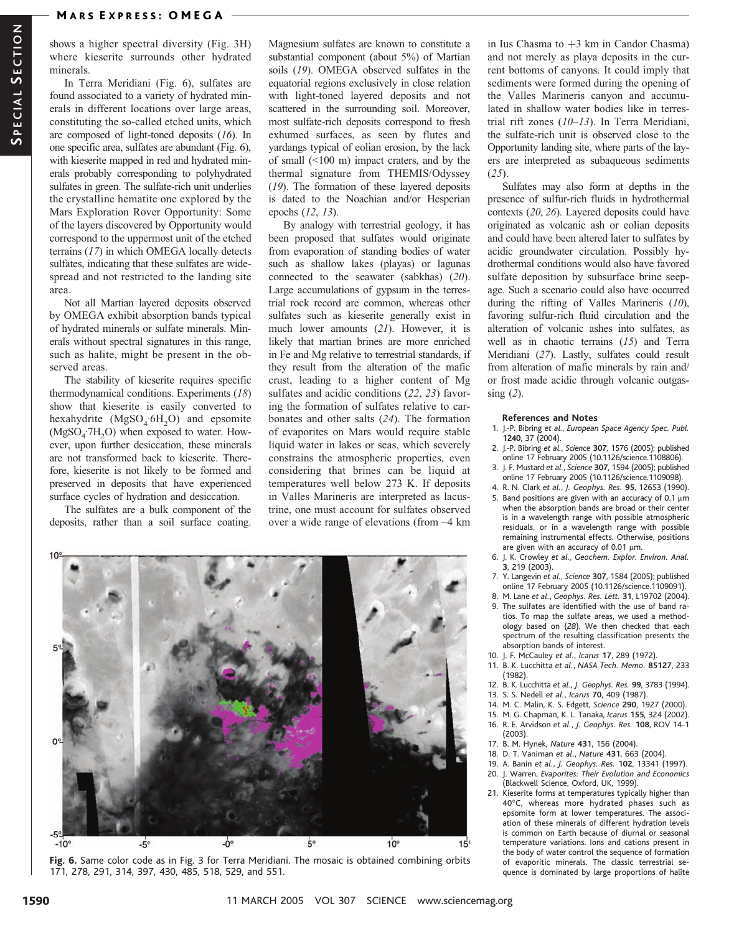shows a higher spectral diversity (Fig. 3H) where kieserite surrounds other hydrated minerals.

In Terra Meridiani (Fig. 6), sulfates are found associated to a variety of hydrated minerals in different locations over large areas, constituting the so-called etched units, which are composed of light-toned deposits (16). In one specific area, sulfates are abundant (Fig. 6), with kieserite mapped in red and hydrated minerals probably corresponding to polyhydrated sulfates in green. The sulfate-rich unit underlies the crystalline hematite one explored by the Mars Exploration Rover Opportunity: Some of the layers discovered by Opportunity would correspond to the uppermost unit of the etched terrains (17) in which OMEGA locally detects sulfates, indicating that these sulfates are widespread and not restricted to the landing site area.

Not all Martian layered deposits observed by OMEGA exhibit absorption bands typical of hydrated minerals or sulfate minerals. Minerals without spectral signatures in this range, such as halite, might be present in the observed areas.

The stability of kieserite requires specific thermodynamical conditions. Experiments (18) show that kieserite is easily converted to hexahydrite  $(MgSO<sub>4</sub>·6H<sub>2</sub>O)$  and epsomite  $(MgSO<sub>4</sub>·7H<sub>2</sub>O)$  when exposed to water. However, upon further desiccation, these minerals are not transformed back to kieserite. Therefore, kieserite is not likely to be formed and preserved in deposits that have experienced surface cycles of hydration and desiccation.

The sulfates are a bulk component of the deposits, rather than a soil surface coating.

Magnesium sulfates are known to constitute a substantial component (about 5%) of Martian soils (19). OMEGA observed sulfates in the equatorial regions exclusively in close relation with light-toned layered deposits and not scattered in the surrounding soil. Moreover, most sulfate-rich deposits correspond to fresh exhumed surfaces, as seen by flutes and yardangs typical of eolian erosion, by the lack of small  $(<100 \text{ m})$  impact craters, and by the thermal signature from THEMIS/Odyssey (19). The formation of these layered deposits is dated to the Noachian and/or Hesperian epochs (12, 13).

By analogy with terrestrial geology, it has been proposed that sulfates would originate from evaporation of standing bodies of water such as shallow lakes (playas) or lagunas connected to the seawater (sabkhas) (20). Large accumulations of gypsum in the terrestrial rock record are common, whereas other sulfates such as kieserite generally exist in much lower amounts (21). However, it is likely that martian brines are more enriched in Fe and Mg relative to terrestrial standards, if they result from the alteration of the mafic crust, leading to a higher content of Mg sulfates and acidic conditions (22, 23) favoring the formation of sulfates relative to carbonates and other salts (24). The formation of evaporites on Mars would require stable liquid water in lakes or seas, which severely constrains the atmospheric properties, even considering that brines can be liquid at temperatures well below 273 K. If deposits in Valles Marineris are interpreted as lacustrine, one must account for sulfates observed over a wide range of elevations (from –4 km



Fig. 6. Same color code as in Fig. 3 for Terra Meridiani. The mosaic is obtained combining orbits 171, 278, 291, 314, 397, 430, 485, 518, 529, and 551.

in Ius Chasma to  $+3$  km in Candor Chasma) and not merely as playa deposits in the current bottoms of canyons. It could imply that sediments were formed during the opening of the Valles Marineris canyon and accumulated in shallow water bodies like in terrestrial rift zones (10–13). In Terra Meridiani, the sulfate-rich unit is observed close to the Opportunity landing site, where parts of the layers are interpreted as subaqueous sediments  $(25)$ .

Sulfates may also form at depths in the presence of sulfur-rich fluids in hydrothermal contexts (20, 26). Layered deposits could have originated as volcanic ash or eolian deposits and could have been altered later to sulfates by acidic groundwater circulation. Possibly hydrothermal conditions would also have favored sulfate deposition by subsurface brine seepage. Such a scenario could also have occurred during the rifting of Valles Marineris (10), favoring sulfur-rich fluid circulation and the alteration of volcanic ashes into sulfates, as well as in chaotic terrains (15) and Terra Meridiani (27). Lastly, sulfates could result from alteration of mafic minerals by rain and/ or frost made acidic through volcanic outgas- $\sin g$  (2).

#### References and Notes

- 1. J.-P. Bibring et al., European Space Agency Spec. Publ. 1240, 37 (2004).
- 2. J.-P. Bibring et al., Science 307, 1576 (2005); published online 17 February 2005 (10.1126/science.1108806).
- 3. J. F. Mustard et al., Science 307, 1594 (2005); published online 17 February 2005 (10.1126/science.1109098).
- 4. R. N. Clark et al., J. Geophys. Res. 95, 12653 (1990).
- 5. Band positions are given with an accuracy of 0.1  $\mu$ m when the absorption bands are broad or their center is in a wavelength range with possible atmospheric residuals, or in a wavelength range with possible remaining instrumental effects. Otherwise, positions are given with an accuracy of 0.01  $\mu$ m.
- 6. J. K. Crowley et al., Geochem. Explor. Environ. Anal. 3, 219 (2003).
- 7. Y. Langevin et al., Science 307, 1584 (2005); published online 17 February 2005 (10.1126/science.1109091).
- 8. M. Lane et al., Geophys. Res. Lett. 31, L19702 (2004). 9. The sulfates are identified with the use of band ratios. To map the sulfate areas, we used a methodology based on (28). We then checked that each spectrum of the resulting classification presents the absorption bands of interest.
- 10. J. F. McCauley et al., Icarus 17, 289 (1972).
- 11. B. K. Lucchitta et al., NASA Tech. Memo. 85127, 233 (1982).
- 12. B. K. Lucchitta et al., J. Geophys. Res. 99, 3783 (1994).
- 13. S. S. Nedell et al., Icarus 70, 409 (1987).
- 14. M. C. Malin, K. S. Edgett, Science 290, 1927 (2000).
- 15. M. G. Chapman, K. L. Tanaka, Icarus 155, 324 (2002). 16. R. E. Arvidson et al., J. Geophys. Res. 108, ROV 14-1
- (2003). 17. B. M. Hynek, Nature 431, 156 (2004).
- 18. D. T. Vaniman et al., Nature 431, 663 (2004).
- 19. A. Banin et al., J. Geophys. Res. 102, 13341 (1997).
- 20. J. Warren, Evaporites: Their Evolution and Economics
- (Blackwell Science, Oxford, UK, 1999).
- 21. Kieserite forms at temperatures typically higher than 40°C, whereas more hydrated phases such as epsomite form at lower temperatures. The association of these minerals of different hydration levels is common on Earth because of diurnal or seasonal temperature variations. Ions and cations present in the body of water control the sequence of formation of evaporitic minerals. The classic terrestrial sequence is dominated by large proportions of halite